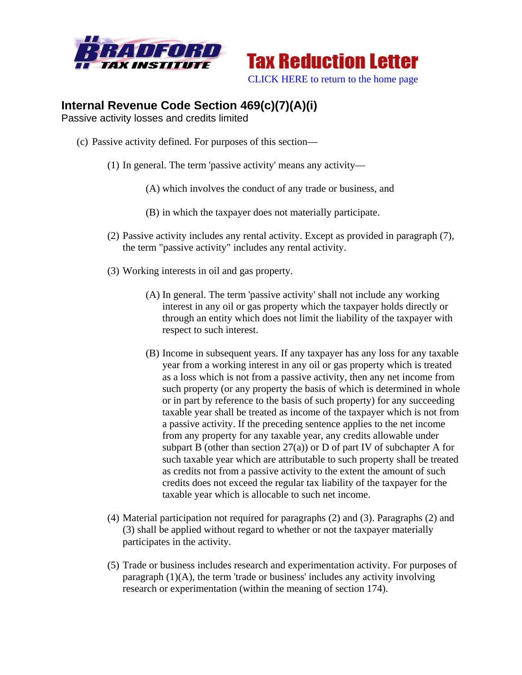



## **Internal Revenue Code Section 469(c)(7)(A)(i)**

Passive activity losses and credits limited

- (c) Passive activity defined. For purposes of this section—
	- (1) In general. The term 'passive activity' means any activity—
		- (A) which involves the conduct of any trade or business, and
		- (B) in which the taxpayer does not materially participate.
	- (2) Passive activity includes any rental activity. Except as provided in paragraph (7), the term "passive activity" includes any rental activity.
	- (3) Working interests in oil and gas property.
		- (A) In general. The term 'passive activity' shall not include any working interest in any oil or gas property which the taxpayer holds directly or through an entity which does not limit the liability of the taxpayer with respect to such interest.
		- (B) Income in subsequent years. If any taxpayer has any loss for any taxable year from a working interest in any oil or gas property which is treated as a loss which is not from a passive activity, then any net income from such property (or any property the basis of which is determined in whole or in part by reference to the basis of such property) for any succeeding taxable year shall be treated as income of the taxpayer which is not from a passive activity. If the preceding sentence applies to the net income from any property for any taxable year, any credits allowable under subpart B (other than section  $27(a)$ ) or D of part IV of subchapter A for such taxable year which are attributable to such property shall be treated as credits not from a passive activity to the extent the amount of such credits does not exceed the regular tax liability of the taxpayer for the taxable year which is allocable to such net income.
	- (4) Material participation not required for paragraphs (2) and (3). Paragraphs (2) and (3) shall be applied without regard to whether or not the taxpayer materially participates in the activity.
	- (5) Trade or business includes research and experimentation activity. For purposes of paragraph (1)(A), the term 'trade or business' includes any activity involving research or experimentation (within the meaning of section 174).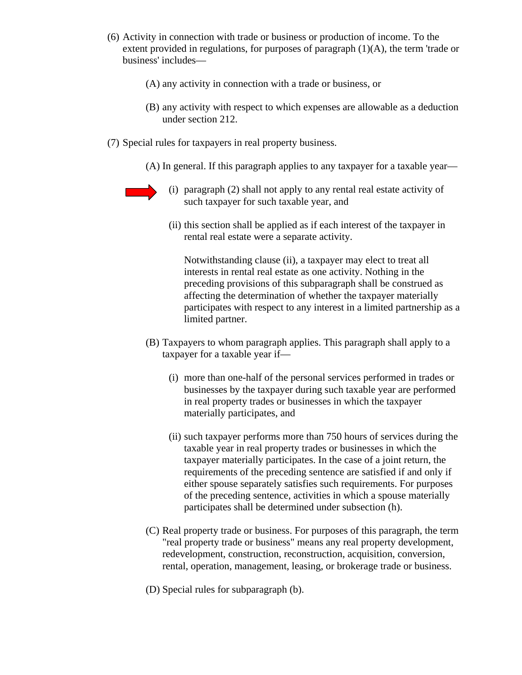- (6) Activity in connection with trade or business or production of income. To the extent provided in regulations, for purposes of paragraph  $(1)(A)$ , the term 'trade or business' includes—
	- (A) any activity in connection with a trade or business, or
	- (B) any activity with respect to which expenses are allowable as a deduction under section 212.
- (7) Special rules for taxpayers in real property business.
	- (A) In general. If this paragraph applies to any taxpayer for a taxable year—

- (i) paragraph (2) shall not apply to any rental real estate activity of such taxpayer for such taxable year, and
- (ii) this section shall be applied as if each interest of the taxpayer in rental real estate were a separate activity.

Notwithstanding clause (ii), a taxpayer may elect to treat all interests in rental real estate as one activity. Nothing in the preceding provisions of this subparagraph shall be construed as affecting the determination of whether the taxpayer materially participates with respect to any interest in a limited partnership as a limited partner.

- (B) Taxpayers to whom paragraph applies. This paragraph shall apply to a taxpayer for a taxable year if—
	- (i) more than one-half of the personal services performed in trades or businesses by the taxpayer during such taxable year are performed in real property trades or businesses in which the taxpayer materially participates, and
	- (ii) such taxpayer performs more than 750 hours of services during the taxable year in real property trades or businesses in which the taxpayer materially participates. In the case of a joint return, the requirements of the preceding sentence are satisfied if and only if either spouse separately satisfies such requirements. For purposes of the preceding sentence, activities in which a spouse materially participates shall be determined under subsection (h).
- (C) Real property trade or business. For purposes of this paragraph, the term "real property trade or business" means any real property development, redevelopment, construction, reconstruction, acquisition, conversion, rental, operation, management, leasing, or brokerage trade or business.
- (D) Special rules for subparagraph (b).